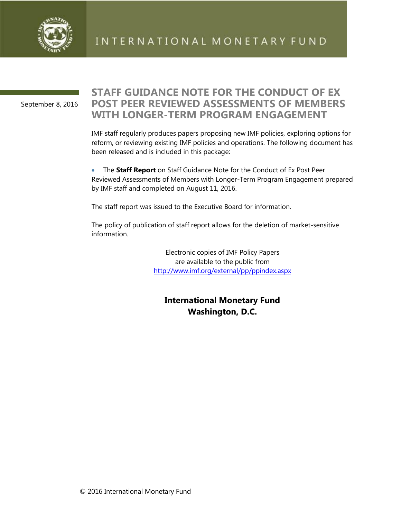

September 8, 2016

## **STAFF GUIDANCE NOTE FOR THE CONDUCT OF EX POST PEER REVIEWED ASSESSMENTS OF MEMBERS WITH LONGER-TERM PROGRAM ENGAGEMENT**

IMF staff regularly produces papers proposing new IMF policies, exploring options for reform, or reviewing existing IMF policies and operations. The following document has been released and is included in this package:

 The **Staff Report** on Staff Guidance Note for the Conduct of Ex Post Peer Reviewed Assessments of Members with Longer-Term Program Engagement prepared by IMF staff and completed on August 11, 2016.

The staff report was issued to the Executive Board for information.

The policy of publication of staff report allows for the deletion of market-sensitive information.

> Electronic copies of IMF Policy Papers are available to the public from <http://www.imf.org/external/pp/ppindex.aspx>

### **International Monetary Fund Washington, D.C.**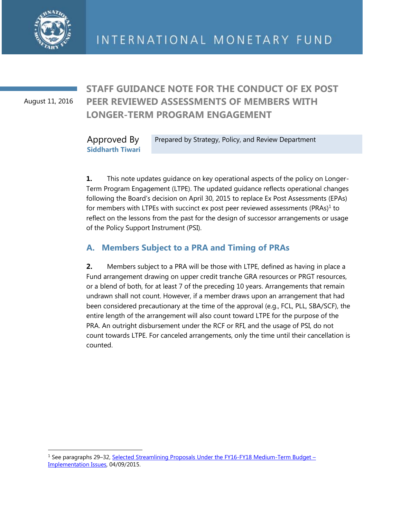

August 11, 2016

# **STAFF GUIDANCE NOTE FOR THE CONDUCT OF EX POST PEER REVIEWED ASSESSMENTS OF MEMBERS WITH LONGER-TERM PROGRAM ENGAGEMENT**

#### Approved By **Siddharth Tiwari** Prepared by Strategy, Policy, and Review Department

**1.** This note updates guidance on key operational aspects of the policy on Longer-Term Program Engagement (LTPE). The updated guidance reflects operational changes following the Board's decision on April 30, 2015 to replace Ex Post Assessments (EPAs) for members with LTPEs with succinct ex post peer reviewed assessments (PRAs) $1$  to reflect on the lessons from the past for the design of successor arrangements or usage of the Policy Support Instrument (PSI).

### **A. Members Subject to a PRA and Timing of PRAs**

**2.** Members subject to a PRA will be those with LTPE, defined as having in place a Fund arrangement drawing on upper credit tranche GRA resources or PRGT resources, or a blend of both, for at least 7 of the preceding 10 years. Arrangements that remain undrawn shall not count. However, if a member draws upon an arrangement that had been considered precautionary at the time of the approval (e.g., FCL, PLL, SBA/SCF), the entire length of the arrangement will also count toward LTPE for the purpose of the PRA. An outright disbursement under the RCF or RFI, and the usage of PSI, do not count towards LTPE. For canceled arrangements, only the time until their cancellation is counted.

<sup>&</sup>lt;sup>1</sup> See paragraphs 29–32, [Selected Streamlining Proposals Under the FY16-FY18 Medium-Term Budget](http://www.google.com/url?sa=t&rct=j&q=&esrc=s&source=web&cd=1&cad=rja&uact=8&ved=0ahUKEwjV4c3Q9f3OAhWFLsAKHTUmAA4QFggcMAA&url=http%3A%2F%2Fwww.imf.org%2Fexternal%2Fnp%2Fpp%2Feng%2F2015%2F032715.pdf&usg=AFQjCNEF7nsLqVZeqCIniIZCkmlT4PiIiQ) -[Implementation Issues,](http://www.google.com/url?sa=t&rct=j&q=&esrc=s&source=web&cd=1&cad=rja&uact=8&ved=0ahUKEwjV4c3Q9f3OAhWFLsAKHTUmAA4QFggcMAA&url=http%3A%2F%2Fwww.imf.org%2Fexternal%2Fnp%2Fpp%2Feng%2F2015%2F032715.pdf&usg=AFQjCNEF7nsLqVZeqCIniIZCkmlT4PiIiQ) 04/09/2015.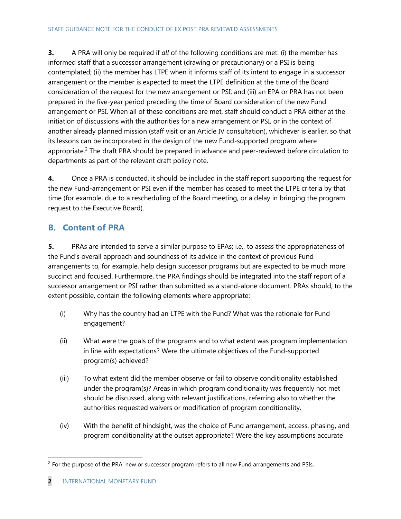**3.** A PRA will only be required if all of the following conditions are met: (i) the member has informed staff that a successor arrangement (drawing or precautionary) or a PSI is being contemplated; (ii) the member has LTPE when it informs staff of its intent to engage in a successor arrangement or the member is expected to meet the LTPE definition at the time of the Board consideration of the request for the new arrangement or PSI; and (iii) an EPA or PRA has not been prepared in the five-year period preceding the time of Board consideration of the new Fund arrangement or PSI. When all of these conditions are met, staff should conduct a PRA either at the initiation of discussions with the authorities for a new arrangement or PSI, or in the context of another already planned mission (staff visit or an Article IV consultation), whichever is earlier, so that its lessons can be incorporated in the design of the new Fund-supported program where appropriate.<sup>2</sup> The draft PRA should be prepared in advance and peer-reviewed before circulation to departments as part of the relevant draft policy note.

**4.** Once a PRA is conducted, it should be included in the staff report supporting the request for the new Fund-arrangement or PSI even if the member has ceased to meet the LTPE criteria by that time (for example, due to a rescheduling of the Board meeting, or a delay in bringing the program request to the Executive Board).

### **B. Content of PRA**

**5.** PRAs are intended to serve a similar purpose to EPAs; i.e., to assess the appropriateness of the Fund's overall approach and soundness of its advice in the context of previous Fund arrangements to, for example, help design successor programs but are expected to be much more succinct and focused. Furthermore, the PRA findings should be integrated into the staff report of a successor arrangement or PSI rather than submitted as a stand-alone document. PRAs should, to the extent possible, contain the following elements where appropriate:

- (i) Why has the country had an LTPE with the Fund? What was the rationale for Fund engagement?
- (ii) What were the goals of the programs and to what extent was program implementation in line with expectations? Were the ultimate objectives of the Fund-supported program(s) achieved?
- (iii) To what extent did the member observe or fail to observe conditionality established under the program(s)? Areas in which program conditionality was frequently not met should be discussed, along with relevant justifications, referring also to whether the authorities requested waivers or modification of program conditionality.
- (iv) With the benefit of hindsight, was the choice of Fund arrangement, access, phasing, and program conditionality at the outset appropriate? Were the key assumptions accurate

 $\overline{a}$ 

 $<sup>2</sup>$  For the purpose of the PRA, new or successor program refers to all new Fund arrangements and PSIs.</sup>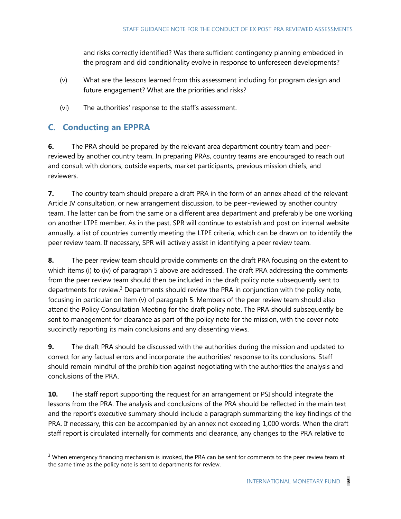and risks correctly identified? Was there sufficient contingency planning embedded in the program and did conditionality evolve in response to unforeseen developments?

- (v) What are the lessons learned from this assessment including for program design and future engagement? What are the priorities and risks?
- (vi) The authorities' response to the staff's assessment.

### **C. Conducting an EPPRA**

 $\overline{a}$ 

**6.** The PRA should be prepared by the relevant area department country team and peerreviewed by another country team. In preparing PRAs, country teams are encouraged to reach out and consult with donors, outside experts, market participants, previous mission chiefs, and reviewers.

**7.** The country team should prepare a draft PRA in the form of an annex ahead of the relevant Article IV consultation, or new arrangement discussion, to be peer-reviewed by another country team. The latter can be from the same or a different area department and preferably be one working on another LTPE member. As in the past, SPR will continue to establish and post on internal website annually, a list of countries currently meeting the LTPE criteria, which can be drawn on to identify the peer review team. If necessary, SPR will actively assist in identifying a peer review team.

**8.** The peer review team should provide comments on the draft PRA focusing on the extent to which items (i) to (iv) of paragraph 5 above are addressed. The draft PRA addressing the comments from the peer review team should then be included in the draft policy note subsequently sent to departments for review.<sup>3</sup> Departments should review the PRA in conjunction with the policy note, focusing in particular on item (v) of paragraph 5. Members of the peer review team should also attend the Policy Consultation Meeting for the draft policy note. The PRA should subsequently be sent to management for clearance as part of the policy note for the mission, with the cover note succinctly reporting its main conclusions and any dissenting views.

**9.** The draft PRA should be discussed with the authorities during the mission and updated to correct for any factual errors and incorporate the authorities' response to its conclusions. Staff should remain mindful of the prohibition against negotiating with the authorities the analysis and conclusions of the PRA.

**10.** The staff report supporting the request for an arrangement or PSI should integrate the lessons from the PRA. The analysis and conclusions of the PRA should be reflected in the main text and the report's executive summary should include a paragraph summarizing the key findings of the PRA. If necessary, this can be accompanied by an annex not exceeding 1,000 words. When the draft staff report is circulated internally for comments and clearance, any changes to the PRA relative to

 $3$  When emergency financing mechanism is invoked, the PRA can be sent for comments to the peer review team at the same time as the policy note is sent to departments for review.